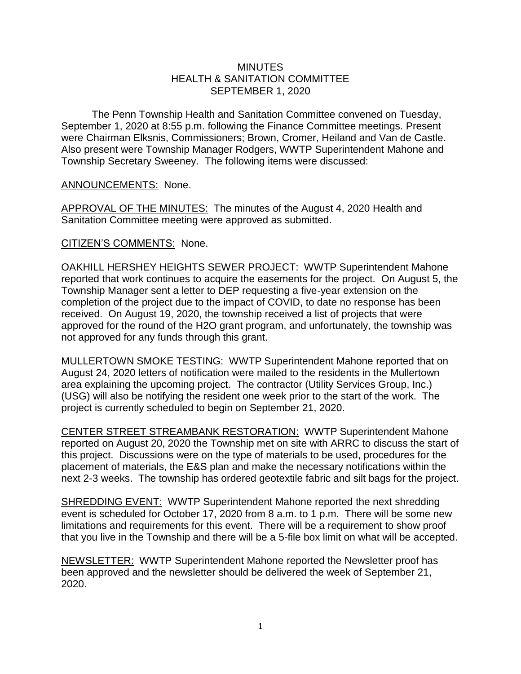## **MINUTES** HEALTH & SANITATION COMMITTEE SEPTEMBER 1, 2020

The Penn Township Health and Sanitation Committee convened on Tuesday, September 1, 2020 at 8:55 p.m. following the Finance Committee meetings. Present were Chairman Elksnis, Commissioners; Brown, Cromer, Heiland and Van de Castle. Also present were Township Manager Rodgers, WWTP Superintendent Mahone and Township Secretary Sweeney. The following items were discussed:

## ANNOUNCEMENTS: None.

APPROVAL OF THE MINUTES: The minutes of the August 4, 2020 Health and Sanitation Committee meeting were approved as submitted.

## CITIZEN'S COMMENTS: None.

OAKHILL HERSHEY HEIGHTS SEWER PROJECT: WWTP Superintendent Mahone reported that work continues to acquire the easements for the project. On August 5, the Township Manager sent a letter to DEP requesting a five-year extension on the completion of the project due to the impact of COVID, to date no response has been received. On August 19, 2020, the township received a list of projects that were approved for the round of the H2O grant program, and unfortunately, the township was not approved for any funds through this grant.

MULLERTOWN SMOKE TESTING: WWTP Superintendent Mahone reported that on August 24, 2020 letters of notification were mailed to the residents in the Mullertown area explaining the upcoming project. The contractor (Utility Services Group, Inc.) (USG) will also be notifying the resident one week prior to the start of the work. The project is currently scheduled to begin on September 21, 2020.

CENTER STREET STREAMBANK RESTORATION: WWTP Superintendent Mahone reported on August 20, 2020 the Township met on site with ARRC to discuss the start of this project. Discussions were on the type of materials to be used, procedures for the placement of materials, the E&S plan and make the necessary notifications within the next 2-3 weeks. The township has ordered geotextile fabric and silt bags for the project.

SHREDDING EVENT: WWTP Superintendent Mahone reported the next shredding event is scheduled for October 17, 2020 from 8 a.m. to 1 p.m. There will be some new limitations and requirements for this event. There will be a requirement to show proof that you live in the Township and there will be a 5-file box limit on what will be accepted.

NEWSLETTER: WWTP Superintendent Mahone reported the Newsletter proof has been approved and the newsletter should be delivered the week of September 21, 2020.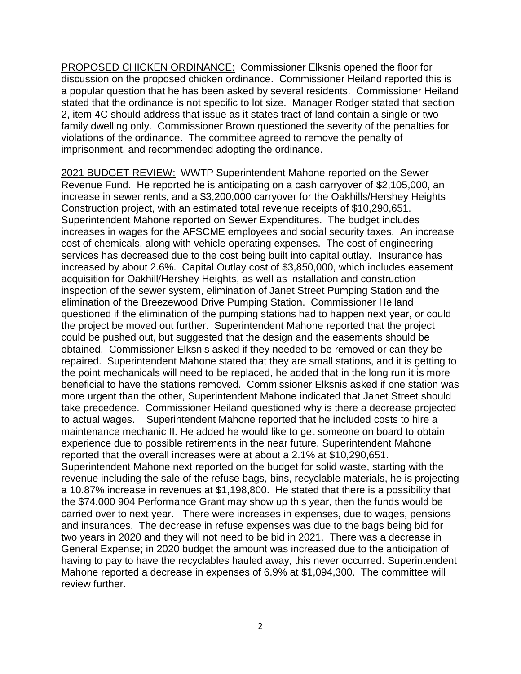PROPOSED CHICKEN ORDINANCE: Commissioner Elksnis opened the floor for discussion on the proposed chicken ordinance. Commissioner Heiland reported this is a popular question that he has been asked by several residents. Commissioner Heiland stated that the ordinance is not specific to lot size. Manager Rodger stated that section 2, item 4C should address that issue as it states tract of land contain a single or twofamily dwelling only. Commissioner Brown questioned the severity of the penalties for violations of the ordinance. The committee agreed to remove the penalty of imprisonment, and recommended adopting the ordinance.

2021 BUDGET REVIEW: WWTP Superintendent Mahone reported on the Sewer Revenue Fund. He reported he is anticipating on a cash carryover of \$2,105,000, an increase in sewer rents, and a \$3,200,000 carryover for the Oakhills/Hershey Heights Construction project, with an estimated total revenue receipts of \$10,290,651. Superintendent Mahone reported on Sewer Expenditures. The budget includes increases in wages for the AFSCME employees and social security taxes. An increase cost of chemicals, along with vehicle operating expenses. The cost of engineering services has decreased due to the cost being built into capital outlay. Insurance has increased by about 2.6%. Capital Outlay cost of \$3,850,000, which includes easement acquisition for Oakhill/Hershey Heights, as well as installation and construction inspection of the sewer system, elimination of Janet Street Pumping Station and the elimination of the Breezewood Drive Pumping Station. Commissioner Heiland questioned if the elimination of the pumping stations had to happen next year, or could the project be moved out further. Superintendent Mahone reported that the project could be pushed out, but suggested that the design and the easements should be obtained. Commissioner Elksnis asked if they needed to be removed or can they be repaired. Superintendent Mahone stated that they are small stations, and it is getting to the point mechanicals will need to be replaced, he added that in the long run it is more beneficial to have the stations removed. Commissioner Elksnis asked if one station was more urgent than the other, Superintendent Mahone indicated that Janet Street should take precedence. Commissioner Heiland questioned why is there a decrease projected to actual wages. Superintendent Mahone reported that he included costs to hire a maintenance mechanic II. He added he would like to get someone on board to obtain experience due to possible retirements in the near future. Superintendent Mahone reported that the overall increases were at about a 2.1% at \$10,290,651. Superintendent Mahone next reported on the budget for solid waste, starting with the revenue including the sale of the refuse bags, bins, recyclable materials, he is projecting a 10.87% increase in revenues at \$1,198,800. He stated that there is a possibility that the \$74,000 904 Performance Grant may show up this year, then the funds would be carried over to next year. There were increases in expenses, due to wages, pensions and insurances. The decrease in refuse expenses was due to the bags being bid for two years in 2020 and they will not need to be bid in 2021. There was a decrease in General Expense; in 2020 budget the amount was increased due to the anticipation of having to pay to have the recyclables hauled away, this never occurred. Superintendent Mahone reported a decrease in expenses of 6.9% at \$1,094,300. The committee will review further.